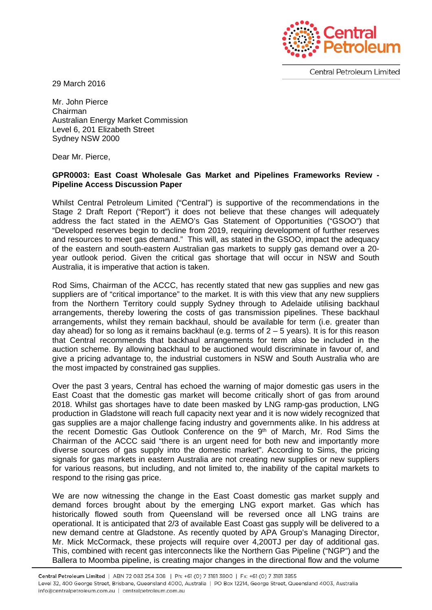

**Central Petroleum Limited** 

29 March 2016

Mr. John Pierce Chairman Australian Energy Market Commission Level 6, 201 Elizabeth Street Sydney NSW 2000

Dear Mr. Pierce,

## **GPR0003: East Coast Wholesale Gas Market and Pipelines Frameworks Review - Pipeline Access Discussion Paper**

Whilst Central Petroleum Limited ("Central") is supportive of the recommendations in the Stage 2 Draft Report ("Report") it does not believe that these changes will adequately address the fact stated in the AEMO's Gas Statement of Opportunities ("GSOO") that "Developed reserves begin to decline from 2019, requiring development of further reserves and resources to meet gas demand." This will, as stated in the GSOO, impact the adequacy of the eastern and south-eastern Australian gas markets to supply gas demand over a 20 year outlook period. Given the critical gas shortage that will occur in NSW and South Australia, it is imperative that action is taken.

Rod Sims, Chairman of the ACCC, has recently stated that new gas supplies and new gas suppliers are of "critical importance" to the market. It is with this view that any new suppliers from the Northern Territory could supply Sydney through to Adelaide utilising backhaul arrangements, thereby lowering the costs of gas transmission pipelines. These backhaul arrangements, whilst they remain backhaul, should be available for term (i.e. greater than day ahead) for so long as it remains backhaul (e.g. terms of  $2 - 5$  years). It is for this reason that Central recommends that backhaul arrangements for term also be included in the auction scheme. By allowing backhaul to be auctioned would discriminate in favour of, and give a pricing advantage to, the industrial customers in NSW and South Australia who are the most impacted by constrained gas supplies.

Over the past 3 years, Central has echoed the warning of major domestic gas users in the East Coast that the domestic gas market will become critically short of gas from around 2018. Whilst gas shortages have to date been masked by LNG ramp-gas production, LNG production in Gladstone will reach full capacity next year and it is now widely recognized that gas supplies are a major challenge facing industry and governments alike. In his address at the recent Domestic Gas Outlook Conference on the 9th of March, Mr. Rod Sims the Chairman of the ACCC said "there is an urgent need for both new and importantly more diverse sources of gas supply into the domestic market". According to Sims, the pricing signals for gas markets in eastern Australia are not creating new supplies or new suppliers for various reasons, but including, and not limited to, the inability of the capital markets to respond to the rising gas price.

We are now witnessing the change in the East Coast domestic gas market supply and demand forces brought about by the emerging LNG export market. Gas which has historically flowed south from Queensland will be reversed once all LNG trains are operational. It is anticipated that 2/3 of available East Coast gas supply will be delivered to a new demand centre at Gladstone. As recently quoted by APA Group's Managing Director, Mr. Mick McCormack, these projects will require over 4,200TJ per day of additional gas. This, combined with recent gas interconnects like the Northern Gas Pipeline ("NGP") and the Ballera to Moomba pipeline, is creating major changes in the directional flow and the volume